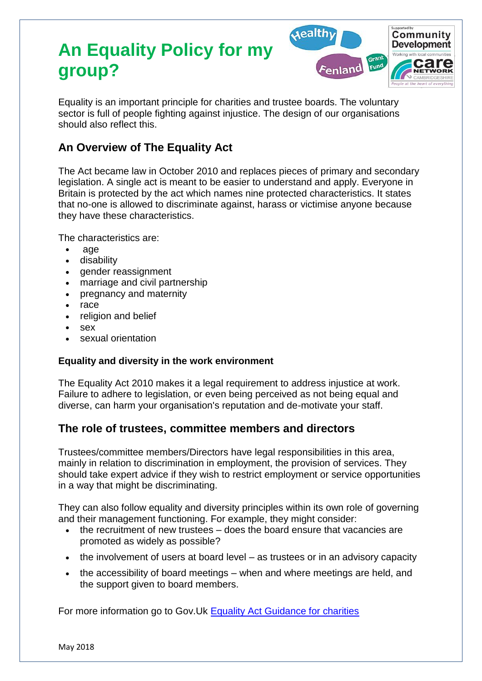# **An Equality Policy for my group?**



Equality is an important principle for charities and trustee boards. The voluntary sector is full of people fighting against injustice. The design of our organisations should also reflect this.

# **An Overview of The Equality Act**

The Act became law in October 2010 and replaces pieces of primary and secondary legislation. A single act is meant to be easier to understand and apply. Everyone in Britain is protected by the act which names nine protected characteristics. It states that no-one is allowed to discriminate against, harass or victimise anyone because they have these characteristics.

The characteristics are:

- age
- disability
- gender reassignment
- marriage and civil partnership
- pregnancy and maternity
- race
- religion and belief
- sex
- sexual orientation

#### **Equality and diversity in the work environment**

The Equality Act 2010 makes it a legal requirement to address injustice at work. Failure to adhere to legislation, or even being perceived as not being equal and diverse, can harm your organisation's reputation and de-motivate your staff.

#### **The role of trustees, committee members and directors**

Trustees/committee members/Directors have legal responsibilities in this area, mainly in relation to discrimination in employment, the provision of services. They should take expert advice if they wish to restrict employment or service opportunities in a way that might be discriminating.

They can also follow equality and diversity principles within its own role of governing and their management functioning. For example, they might consider:

- the recruitment of new trustees does the board ensure that vacancies are promoted as widely as possible?
- the involvement of users at board level as trustees or in an advisory capacity
- the accessibility of board meetings when and where meetings are held, and the support given to board members.

For more information go to Gov. Uk [Equality Act Guidance for charities](https://www.gov.uk/government/publications/equality-act-guidance-for-charities/equality-act-guidance-for-charities)